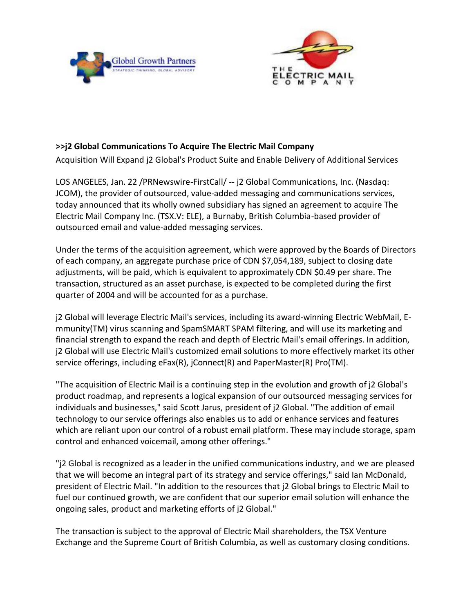



## **>>j2 Global Communications To Acquire The Electric Mail Company**

Acquisition Will Expand j2 Global's Product Suite and Enable Delivery of Additional Services

LOS ANGELES, Jan. 22 /PRNewswire-FirstCall/ -- j2 Global Communications, Inc. (Nasdaq: JCOM), the provider of outsourced, value-added messaging and communications services, today announced that its wholly owned subsidiary has signed an agreement to acquire The Electric Mail Company Inc. (TSX.V: ELE), a Burnaby, British Columbia-based provider of outsourced email and value-added messaging services.

Under the terms of the acquisition agreement, which were approved by the Boards of Directors of each company, an aggregate purchase price of CDN \$7,054,189, subject to closing date adjustments, will be paid, which is equivalent to approximately CDN \$0.49 per share. The transaction, structured as an asset purchase, is expected to be completed during the first quarter of 2004 and will be accounted for as a purchase.

j2 Global will leverage Electric Mail's services, including its award-winning Electric WebMail, Emmunity(TM) virus scanning and SpamSMART SPAM filtering, and will use its marketing and financial strength to expand the reach and depth of Electric Mail's email offerings. In addition, j2 Global will use Electric Mail's customized email solutions to more effectively market its other service offerings, including eFax(R), jConnect(R) and PaperMaster(R) Pro(TM).

"The acquisition of Electric Mail is a continuing step in the evolution and growth of j2 Global's product roadmap, and represents a logical expansion of our outsourced messaging services for individuals and businesses," said Scott Jarus, president of j2 Global. "The addition of email technology to our service offerings also enables us to add or enhance services and features which are reliant upon our control of a robust email platform. These may include storage, spam control and enhanced voicemail, among other offerings."

"j2 Global is recognized as a leader in the unified communications industry, and we are pleased that we will become an integral part of its strategy and service offerings," said Ian McDonald, president of Electric Mail. "In addition to the resources that j2 Global brings to Electric Mail to fuel our continued growth, we are confident that our superior email solution will enhance the ongoing sales, product and marketing efforts of j2 Global."

The transaction is subject to the approval of Electric Mail shareholders, the TSX Venture Exchange and the Supreme Court of British Columbia, as well as customary closing conditions.